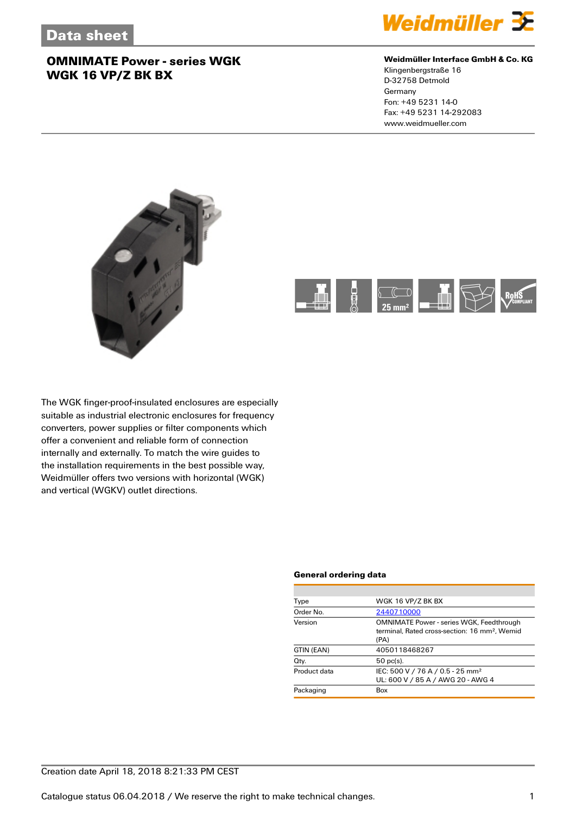

#### **Weidmüller Interface GmbH & Co. KG**

Klingenbergstraße 16 D-32758 Detmold Germany Fon: +49 5231 14-0 Fax: +49 5231 14-292083 www.weidmueller.com





The WGK finger-proof-insulated enclosures are especially suitable as industrial electronic enclosures for frequency converters, power supplies or filter components which offer a convenient and reliable form of connection internally and externally. To match the wire guides to the installation requirements in the best possible way, Weidmüller offers two versions with horizontal (WGK) and vertical (WGKV) outlet directions.

#### **General ordering data**

| WGK 16 VP/Z BK BX                                                                                                    |  |  |
|----------------------------------------------------------------------------------------------------------------------|--|--|
| 2440710000                                                                                                           |  |  |
| <b>OMNIMATE Power - series WGK, Feedthrough</b><br>terminal. Rated cross-section: 16 mm <sup>2</sup> . Wemid<br>(PA) |  |  |
| 4050118468267                                                                                                        |  |  |
| $50$ pc(s).                                                                                                          |  |  |
| IEC: 500 V / 76 A / 0.5 - 25 mm <sup>2</sup><br>UL: 600 V / 85 A / AWG 20 - AWG 4                                    |  |  |
| Box                                                                                                                  |  |  |
|                                                                                                                      |  |  |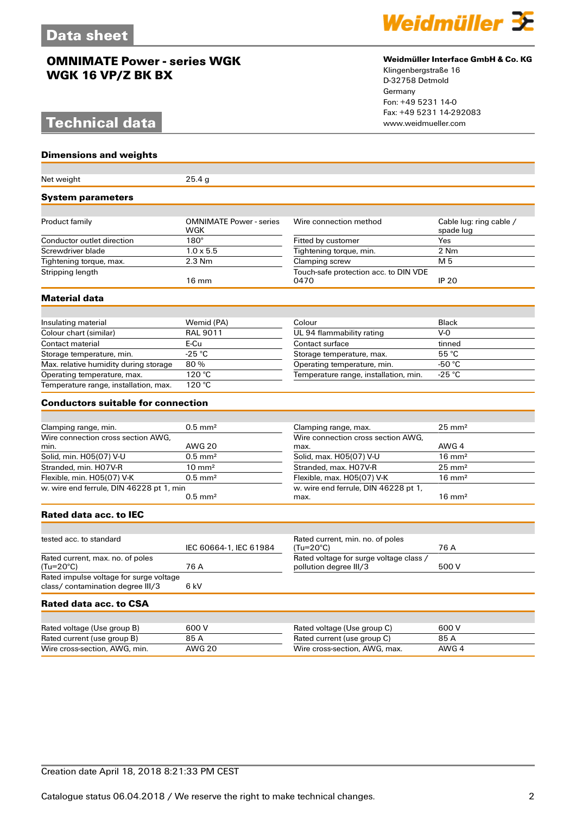# **Technical data**

**Dimensions and weights**



#### **Weidmüller Interface GmbH & Co. KG**

Klingenbergstraße 16 D-32758 Detmold Germany Fon: +49 5231 14-0 Fax: +49 5231 14-292083

| Net weight                                                                   | 25.4 g                                |                                                                   |                                      |  |
|------------------------------------------------------------------------------|---------------------------------------|-------------------------------------------------------------------|--------------------------------------|--|
| <b>System parameters</b>                                                     |                                       |                                                                   |                                      |  |
|                                                                              |                                       |                                                                   |                                      |  |
| Product family                                                               | <b>OMNIMATE Power - series</b><br>WGK | Wire connection method                                            | Cable lug: ring cable /<br>spade lug |  |
| Conductor outlet direction                                                   | $180^\circ$                           | Fitted by customer                                                | Yes                                  |  |
| Screwdriver blade                                                            | $1.0 \times 5.5$                      | Tightening torque, min.                                           | 2 Nm                                 |  |
| Tightening torque, max.                                                      | $2.3$ Nm                              | Clamping screw                                                    | M 5                                  |  |
| Stripping length                                                             | $16 \text{ mm}$                       | Touch-safe protection acc. to DIN VDE<br>0470                     | <b>IP 20</b>                         |  |
| <b>Material data</b>                                                         |                                       |                                                                   |                                      |  |
|                                                                              |                                       |                                                                   |                                      |  |
| Insulating material                                                          | Wemid (PA)                            | Colour                                                            | Black                                |  |
| Colour chart (similar)                                                       | <b>RAL 9011</b>                       | UL 94 flammability rating                                         | $V-0$                                |  |
| Contact material                                                             | E-Cu                                  | Contact surface                                                   | tinned                               |  |
| Storage temperature, min.                                                    | $-25 °C$                              | Storage temperature, max.                                         | 55 °C                                |  |
| Max. relative humidity during storage                                        | 80%                                   | Operating temperature, min.                                       | -50 °C                               |  |
| Operating temperature, max.                                                  | 120 °C                                | Temperature range, installation, min.                             | -25 °C                               |  |
| Temperature range, installation, max.                                        | 120 °C                                |                                                                   |                                      |  |
| <b>Conductors suitable for connection</b>                                    |                                       |                                                                   |                                      |  |
|                                                                              |                                       |                                                                   |                                      |  |
| Clamping range, min.                                                         | $0.5$ mm <sup>2</sup>                 | Clamping range, max.                                              | $25 \text{ mm}^2$                    |  |
| Wire connection cross section AWG,                                           |                                       | Wire connection cross section AWG,                                |                                      |  |
| min.                                                                         | <b>AWG 20</b>                         | max.                                                              | AWG 4                                |  |
| Solid, min. H05(07) V-U                                                      | $0.5$ mm <sup>2</sup>                 | Solid, max. H05(07) V-U                                           | $16 \text{ mm}^2$                    |  |
| Stranded, min. H07V-R                                                        | $10 \text{ mm}^2$                     | Stranded, max. H07V-R                                             | $25 \text{ mm}^2$                    |  |
| Flexible, min. H05(07) V-K                                                   | $0.5$ mm <sup>2</sup>                 | Flexible, max. H05(07) V-K                                        | $16 \text{ mm}^2$                    |  |
| w. wire end ferrule, DIN 46228 pt 1, min                                     | $0.5$ mm <sup>2</sup>                 | w. wire end ferrule, DIN 46228 pt 1,<br>max.                      | $16 \text{ mm}^2$                    |  |
| Rated data acc. to IEC                                                       |                                       |                                                                   |                                      |  |
|                                                                              |                                       |                                                                   |                                      |  |
| tested acc. to standard                                                      | IEC 60664-1, IEC 61984                | Rated current, min. no. of poles<br>(Tu=20°C)                     | 76 A                                 |  |
| Rated current, max. no. of poles<br>$(Tu=20^{\circ}C)$                       | 76 A                                  | Rated voltage for surge voltage class /<br>pollution degree III/3 | 500 V                                |  |
| Rated impulse voltage for surge voltage<br>class/ contamination degree III/3 | 6 kV                                  |                                                                   |                                      |  |
| Rated data acc. to CSA                                                       |                                       |                                                                   |                                      |  |
|                                                                              |                                       |                                                                   |                                      |  |
| Rated voltage (Use group B)                                                  | 600 V                                 | Rated voltage (Use group C)                                       | 600 V                                |  |
| Rated current (use group B)                                                  | 85 A                                  | Rated current (use group C)                                       | 85 A                                 |  |
| Wire cross-section, AWG, min.                                                | <b>AWG 20</b>                         | Wire cross-section, AWG, max.                                     | AWG 4                                |  |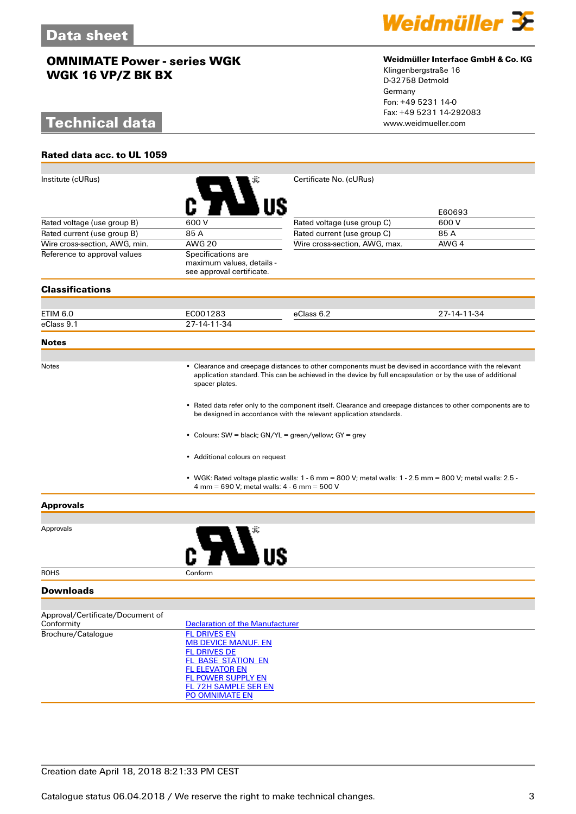# **Technical data**

**Rated data acc. to UL 1059**



#### **Weidmüller Interface GmbH & Co. KG**

Klingenbergstraße 16 D-32758 Detmold Germany Fon: +49 5231 14-0 Fax: +49 5231 14-292083

| Institute (cURus)                                                                         |                                                                                                                                                                                                                                        | Certificate No. (cURus)       |             |  |  |
|-------------------------------------------------------------------------------------------|----------------------------------------------------------------------------------------------------------------------------------------------------------------------------------------------------------------------------------------|-------------------------------|-------------|--|--|
|                                                                                           |                                                                                                                                                                                                                                        |                               | E60693      |  |  |
| Rated voltage (use group B)                                                               | 600 V                                                                                                                                                                                                                                  | Rated voltage (use group C)   | 600 V       |  |  |
| Rated current (use group B)                                                               | 85 A                                                                                                                                                                                                                                   | Rated current (use group C)   | 85 A        |  |  |
| Wire cross-section, AWG, min.                                                             | <b>AWG 20</b>                                                                                                                                                                                                                          | Wire cross-section, AWG, max. | AWG 4       |  |  |
| Reference to approval values                                                              | Specifications are<br>maximum values, details -<br>see approval certificate.                                                                                                                                                           |                               |             |  |  |
| <b>Classifications</b>                                                                    |                                                                                                                                                                                                                                        |                               |             |  |  |
|                                                                                           |                                                                                                                                                                                                                                        |                               |             |  |  |
| ETIM 6.0                                                                                  | EC001283                                                                                                                                                                                                                               | eClass 6.2                    | 27-14-11-34 |  |  |
| eClass 9.1                                                                                | 27-14-11-34                                                                                                                                                                                                                            |                               |             |  |  |
| <b>Notes</b>                                                                              |                                                                                                                                                                                                                                        |                               |             |  |  |
|                                                                                           |                                                                                                                                                                                                                                        |                               |             |  |  |
| <b>Notes</b>                                                                              | • Clearance and creepage distances to other components must be devised in accordance with the relevant<br>application standard. This can be achieved in the device by full encapsulation or by the use of additional<br>spacer plates. |                               |             |  |  |
|                                                                                           | • Rated data refer only to the component itself. Clearance and creepage distances to other components are to<br>be designed in accordance with the relevant application standards.                                                     |                               |             |  |  |
| • Colours: SW = black; GN/YL = green/yellow; GY = grey<br>• Additional colours on request |                                                                                                                                                                                                                                        |                               |             |  |  |
|                                                                                           |                                                                                                                                                                                                                                        |                               |             |  |  |
| <b>Approvals</b>                                                                          |                                                                                                                                                                                                                                        |                               |             |  |  |
|                                                                                           |                                                                                                                                                                                                                                        |                               |             |  |  |
| Approvals                                                                                 |                                                                                                                                                                                                                                        |                               |             |  |  |
| <b>ROHS</b>                                                                               | Conform                                                                                                                                                                                                                                |                               |             |  |  |
| Downloads                                                                                 |                                                                                                                                                                                                                                        |                               |             |  |  |
| Approval/Certificate/Document of                                                          |                                                                                                                                                                                                                                        |                               |             |  |  |
| Conformity                                                                                | <b>Declaration of the Manufacturer</b>                                                                                                                                                                                                 |                               |             |  |  |
| Brochure/Catalogue                                                                        | <b>FL DRIVES EN</b>                                                                                                                                                                                                                    |                               |             |  |  |
|                                                                                           | <b>MB DEVICE MANUF. EN</b>                                                                                                                                                                                                             |                               |             |  |  |
|                                                                                           | <b>FL DRIVES DE</b>                                                                                                                                                                                                                    |                               |             |  |  |
|                                                                                           | FL BASE STATION EN<br><b>FL ELEVATOR EN</b>                                                                                                                                                                                            |                               |             |  |  |
|                                                                                           | FL POWER SUPPLY EN                                                                                                                                                                                                                     |                               |             |  |  |
|                                                                                           | <b>FL 72H SAMPLE SER EN</b>                                                                                                                                                                                                            |                               |             |  |  |
|                                                                                           | PO OMNIMATE EN                                                                                                                                                                                                                         |                               |             |  |  |

## Creation date April 18, 2018 8:21:33 PM CEST

Catalogue status 06.04.2018 / We reserve the right to make technical changes. 33